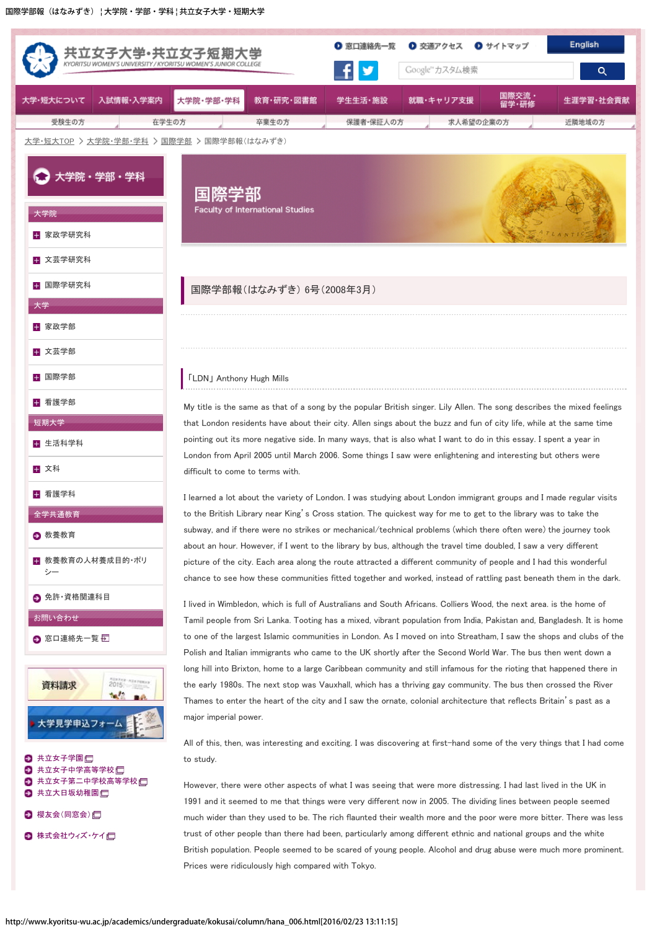## 「LDN」 Anthony Hugh Mills

 My title is the same as that of a song by the popular British singer. Lily Allen. The song describes the mixed feelings that London residents have about their city. Allen sings about the buzz and fun of city life, while at the same time pointing out its more negative side. In many ways, that is also what I want to do in this essay. I spent a year in London from April 2005 until March 2006. Some things I saw were enlightening and interesting but others were difficult to come to terms with.

 I learned a lot about the variety of London. I was studying about London immigrant groups and I made regular visits to the British Library near King's Cross station. The quickest way for me to get to the library was to take the subway, and if there were no strikes or mechanical/technical problems (which there often were) the journey took about an hour. However, if I went to the library by bus, although the travel time doubled, I saw a very different picture of the city. Each area along the route attracted a different community of people and I had this wonderful chance to see how these communities fitted together and worked, instead of rattling past beneath them in the dark.

 I lived in Wimbledon, which is full of Australians and South Africans. Colliers Wood, the next area. is the home of Tamil people from Sri Lanka. Tooting has a mixed, vibrant population from India, Pakistan and, Bangladesh. It is home to one of the largest Islamic communities in London. As I moved on into Streatham, I saw the shops and clubs of the Polish and Italian immigrants who came to the UK shortly after the Second World War. The bus then went down a long hill into Brixton, home to a large Caribbean community and still infamous for the rioting that happened there in the early 1980s. The next stop was Vauxhall, which has a thriving gay community. The bus then crossed the River Thames to enter the heart of the city and I saw the ornate, colonial architecture that reflects Britain's past as a major imperial power.

 All of this, then, was interesting and exciting. I was discovering at first-hand some of the very things that I had come to study.

 However, there were other aspects of what I was seeing that were more distressing. I had last lived in the UK in 1991 and it seemed to me that things were very different now in 2005. The dividing lines between people seemed much wider than they used to be. The rich flaunted their wealth more and the poor were more bitter. There was less trust of other people than there had been, particularly among different ethnic and national groups and the white British population. People seemed to be scared of young people. Alcohol and drug abuse were much more prominent. Prices were ridiculously high compared with Tokyo.